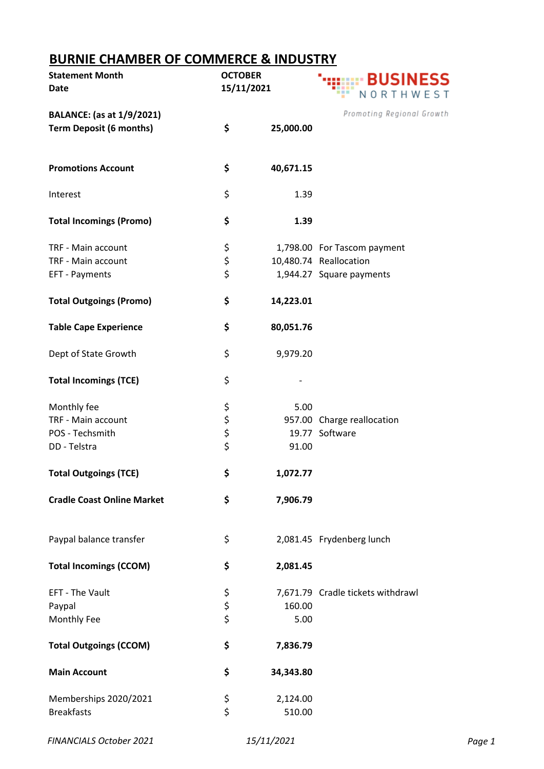## **BURNIE CHAMBER OF COMMERCE & INDUSTRY**

| <b>Statement Month</b>            | <b>OCTOBER</b> |           | <b>BUSINESS</b>                   |
|-----------------------------------|----------------|-----------|-----------------------------------|
| Date                              | 15/11/2021     |           | NORTHWEST                         |
| <b>BALANCE:</b> (as at 1/9/2021)  |                |           | Promoting Regional Growth         |
| <b>Term Deposit (6 months)</b>    | \$             | 25,000.00 |                                   |
| <b>Promotions Account</b>         | \$             | 40,671.15 |                                   |
| Interest                          | \$             | 1.39      |                                   |
| <b>Total Incomings (Promo)</b>    | \$             | 1.39      |                                   |
| TRF - Main account                | \$             |           | 1,798.00 For Tascom payment       |
| TRF - Main account                | \$             |           | 10,480.74 Reallocation            |
| EFT - Payments                    | \$             |           | 1,944.27 Square payments          |
| <b>Total Outgoings (Promo)</b>    | \$             | 14,223.01 |                                   |
| <b>Table Cape Experience</b>      | \$             | 80,051.76 |                                   |
| Dept of State Growth              | \$             | 9,979.20  |                                   |
| <b>Total Incomings (TCE)</b>      | \$             |           |                                   |
| Monthly fee                       | \$             | 5.00      |                                   |
| TRF - Main account                | \$             |           | 957.00 Charge reallocation        |
| POS - Techsmith                   | \$             |           | 19.77 Software                    |
| DD - Telstra                      | \$             | 91.00     |                                   |
| <b>Total Outgoings (TCE)</b>      | \$             | 1,072.77  |                                   |
| <b>Cradle Coast Online Market</b> | \$             | 7,906.79  |                                   |
| Paypal balance transfer           | \$             |           | 2,081.45 Frydenberg lunch         |
| <b>Total Incomings (CCOM)</b>     | \$             | 2,081.45  |                                   |
| EFT - The Vault                   | \$             |           | 7,671.79 Cradle tickets withdrawl |
| Paypal                            | \$             | 160.00    |                                   |
| Monthly Fee                       | \$             | 5.00      |                                   |
| <b>Total Outgoings (CCOM)</b>     | \$             | 7,836.79  |                                   |
| <b>Main Account</b>               | \$             | 34,343.80 |                                   |
| Memberships 2020/2021             | \$             | 2,124.00  |                                   |
| <b>Breakfasts</b>                 | \$             | 510.00    |                                   |

*FINANCIALS October 2021 15/11/2021 Page 1*